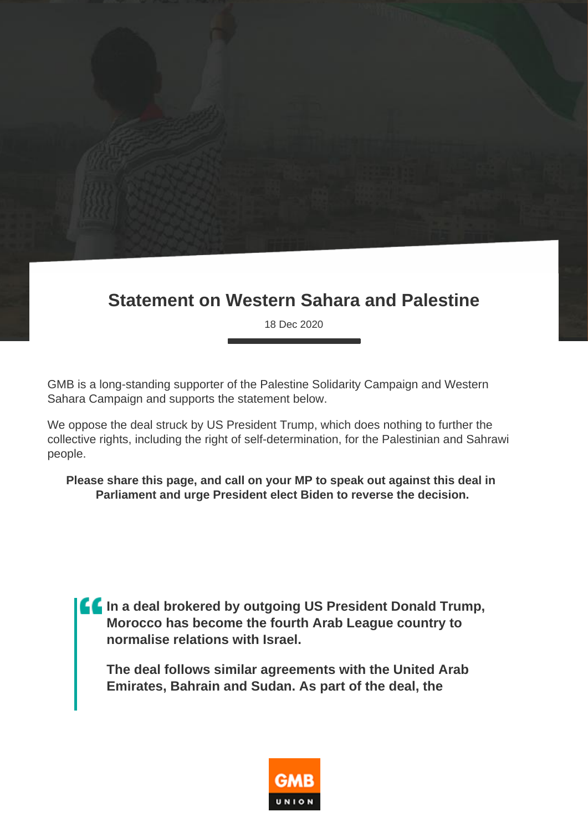## **Statement on Western Sahara and Palestine**

18 Dec 2020

GMB is a long-standing supporter of the Palestine Solidarity Campaign and Western Sahara Campaign and supports the statement below.

We oppose the deal struck by US President Trump, which does nothing to further the collective rights, including the right of self-determination, for the Palestinian and Sahrawi people.

**Please share this page, and call on your MP to speak out against this deal in Parliament and urge President elect Biden to reverse the decision.**

**In a deal brokered by outgoing US President Donald Trump, Morocco has become the fourth Arab League country to normalise relations with Israel.**

**The deal follows similar agreements with the United Arab Emirates, Bahrain and Sudan. As part of the deal, the** 

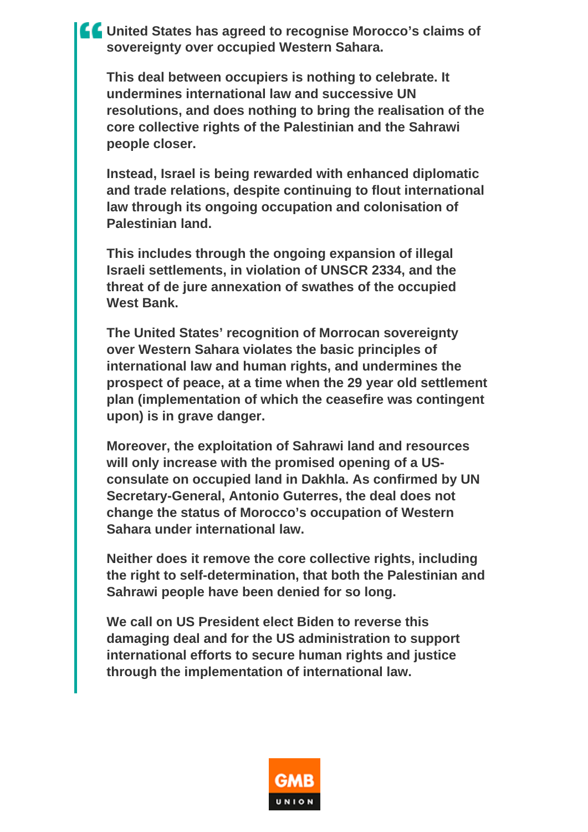**Let United States has agreed to recognise Morocco's claims of sovereignty over occupied Western Sahara.**

**This deal between occupiers is nothing to celebrate. It undermines international law and successive UN resolutions, and does nothing to bring the realisation of the core collective rights of the Palestinian and the Sahrawi people closer.**

**Instead, Israel is being rewarded with enhanced diplomatic and trade relations, despite continuing to flout international law through its ongoing occupation and colonisation of Palestinian land.**

**This includes through the ongoing expansion of illegal Israeli settlements, in violation of UNSCR 2334, and the threat of de jure annexation of swathes of the occupied West Bank.**

**The United States' recognition of Morrocan sovereignty over Western Sahara violates the basic principles of international law and human rights, and undermines the prospect of peace, at a time when the 29 year old settlement plan (implementation of which the ceasefire was contingent upon) is in grave danger.**

**Moreover, the exploitation of Sahrawi land and resources will only increase with the promised opening of a USconsulate on occupied land in Dakhla. As confirmed by UN Secretary-General, Antonio Guterres, the deal does not change the status of Morocco's occupation of Western Sahara under international law.**

**Neither does it remove the core collective rights, including the right to self-determination, that both the Palestinian and Sahrawi people have been denied for so long.**

**We call on US President elect Biden to reverse this damaging deal and for the US administration to support international efforts to secure human rights and justice through the implementation of international law.**